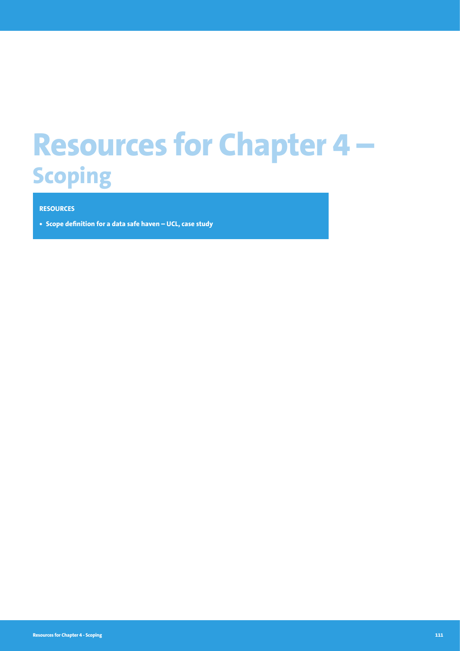# **Resources for Chapter 4 – Scoping**

### **RESOURCES**

**• Scope definition for a data safe haven – UCL, case study**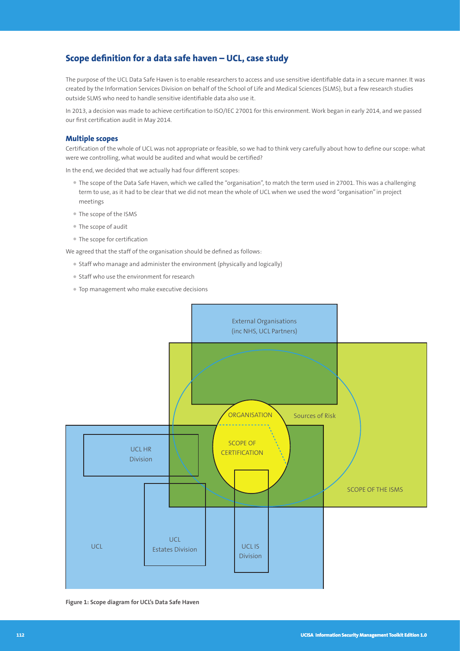## **Scope definition for a data safe haven – UCL, case study**

The purpose of the UCL Data Safe Haven is to enable researchers to access and use sensitive identifiable data in a secure manner. It was created by the Information Services Division on behalf of the School of Life and Medical Sciences (SLMS), but a few research studies outside SLMS who need to handle sensitive identifiable data also use it.

In 2013, a decision was made to achieve certification to ISO/IEC 27001 for this environment. Work began in early 2014, and we passed our first certification audit in May 2014.

#### **Multiple scopes**

Certification of the whole of UCL was not appropriate or feasible, so we had to think very carefully about how to define our scope: what were we controlling, what would be audited and what would be certified?

In the end, we decided that we actually had four different scopes:

- The scope of the Data Safe Haven, which we called the "organisation", to match the term used in 27001. This was a challenging term to use, as it had to be clear that we did not mean the whole of UCL when we used the word "organisation" in project meetings
- The scope of the ISMS
- The scope of audit
- The scope for certification

We agreed that the staff of the organisation should be defined as follows:

- Staff who manage and administer the environment (physically and logically)
- Staff who use the environment for research
- Top management who make executive decisions



**Figure 1: Scope diagram for UCL's Data Safe Haven**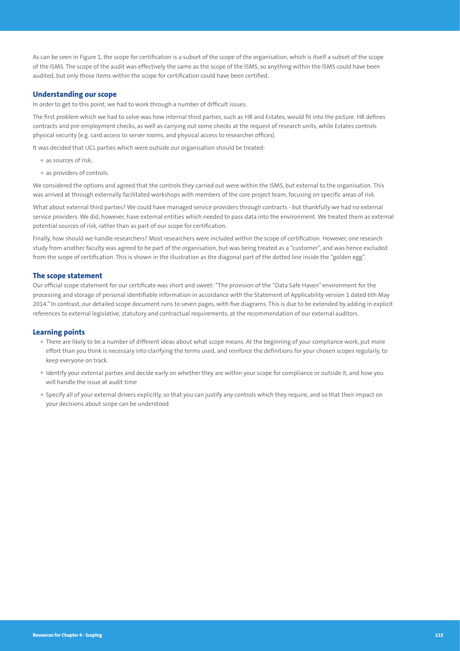As can be seen in Figure 1, the scope for certification is a subset of the scope of the organisation, which is itself a subset of the scope of the ISMS. The scope of the audit was effectively the same as the scope of the ISMS, so anything within the ISMS could have been audited, but only those items within the scope for certification could have been certified.

#### **Understanding our scope**

In order to get to this point, we had to work through a number of difficult issues.

The first problem which we had to solve was how internal third parties, such as HR and Estates, would fit into the picture. HR defines contracts and pre-employment checks, as well as carrying out some checks at the request of research units, while Estates controls physical security (e.g. card access to server rooms, and physical access to researcher offices).

It was decided that UCL parties which were outside our organisation should be treated:

- as sources of risk;
- as providers of controls.

We considered the options and agreed that the controls they carried out were within the ISMS, but external to the organisation. This was arrived at through externally facilitated workshops with members of the core project team, focusing on specific areas of risk.

What about external third parties? We could have managed service providers through contracts - but thankfully we had no external service providers. We did, however, have external entities which needed to pass data into the environment. We treated them as external potential sources of risk, rather than as part of our scope for certification.

Finally, how should we handle researchers? Most researchers were included within the scope of certification. However, one research study from another faculty was agreed to be part of the organisation, but was being treated as a "customer", and was hence excluded from the scope of certification. This is shown in the illustration as the diagonal part of the dotted line inside the "golden egg".

#### **The scope statement**

Our official scope statement for our certificate was short and sweet: "The provision of the "Data Safe Haven" environment for the processing and storage of personal identifiable information in accordance with the Statement of Applicability version 1 dated 6th May 2014." In contrast, our detailed scope document runs to seven pages, with five diagrams. This is due to be extended by adding in explicit references to external legislative, statutory and contractual requirements, at the recommendation of our external auditors.

#### **Learning points**

- There are likely to be a number of different ideas about what scope means. At the beginning of your compliance work, put more effort than you think is necessary into clarifying the terms used, and reinforce the definitions for your chosen scopes regularly, to keep everyone on track.
- Identify your external parties and decide early on whether they are within your scope for compliance or outside it, and how you will handle the issue at audit time
- Specify all of your external drivers explicitly, so that you can justify any controls which they require, and so that their impact on your decisions about scope can be understood.